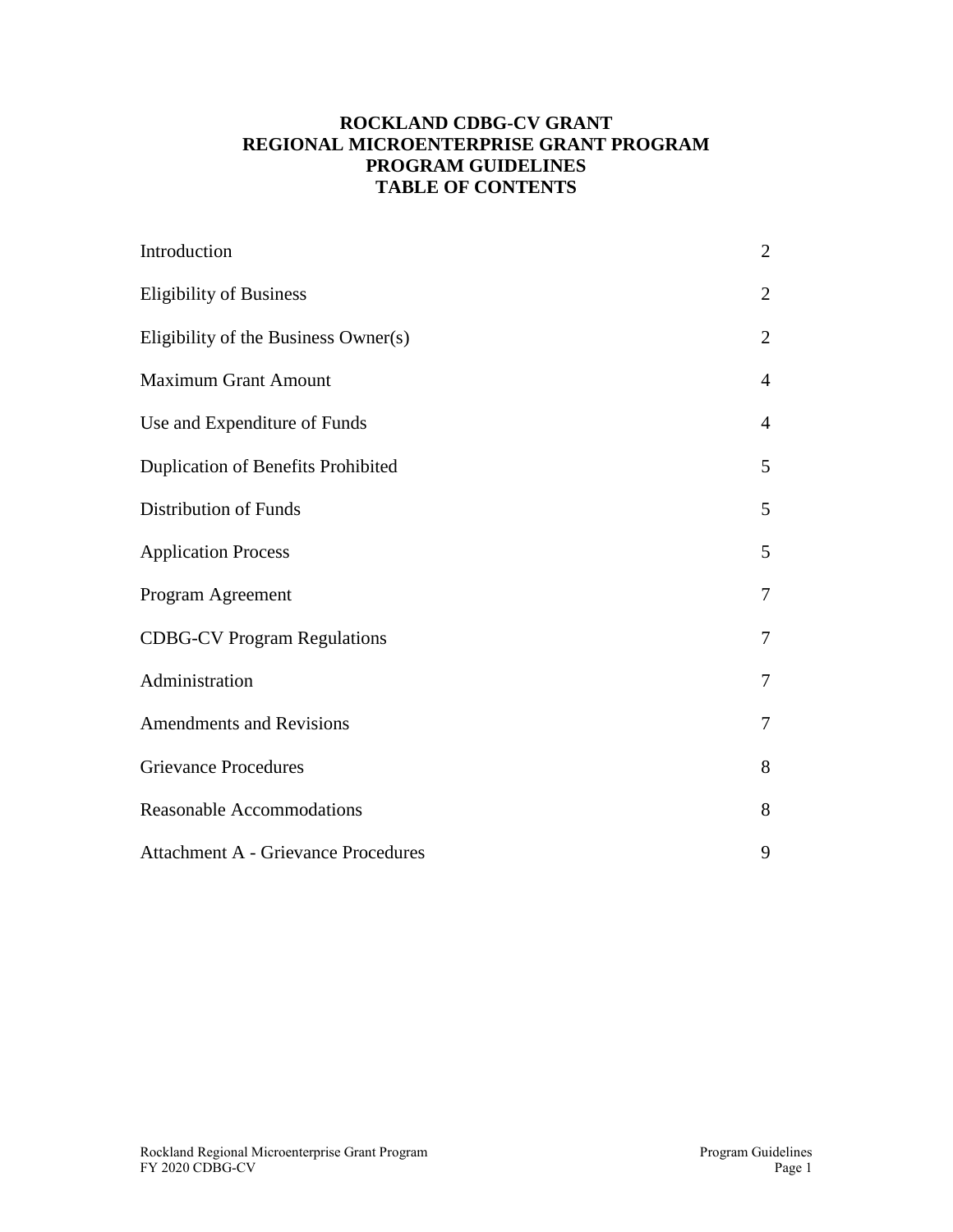### **ROCKLAND CDBG-CV GRANT REGIONAL MICROENTERPRISE GRANT PROGRAM PROGRAM GUIDELINES TABLE OF CONTENTS**

| Introduction                               | $\overline{2}$ |
|--------------------------------------------|----------------|
| <b>Eligibility of Business</b>             | $\overline{2}$ |
| Eligibility of the Business Owner(s)       | $\overline{2}$ |
| <b>Maximum Grant Amount</b>                | $\overline{4}$ |
| Use and Expenditure of Funds               | $\overline{4}$ |
| Duplication of Benefits Prohibited         | 5              |
| <b>Distribution of Funds</b>               | 5              |
| <b>Application Process</b>                 | 5              |
| Program Agreement                          | $\overline{7}$ |
| <b>CDBG-CV Program Regulations</b>         | $\tau$         |
| Administration                             | $\overline{7}$ |
| <b>Amendments and Revisions</b>            | $\overline{7}$ |
| <b>Grievance Procedures</b>                | 8              |
| <b>Reasonable Accommodations</b>           | 8              |
| <b>Attachment A - Grievance Procedures</b> | 9              |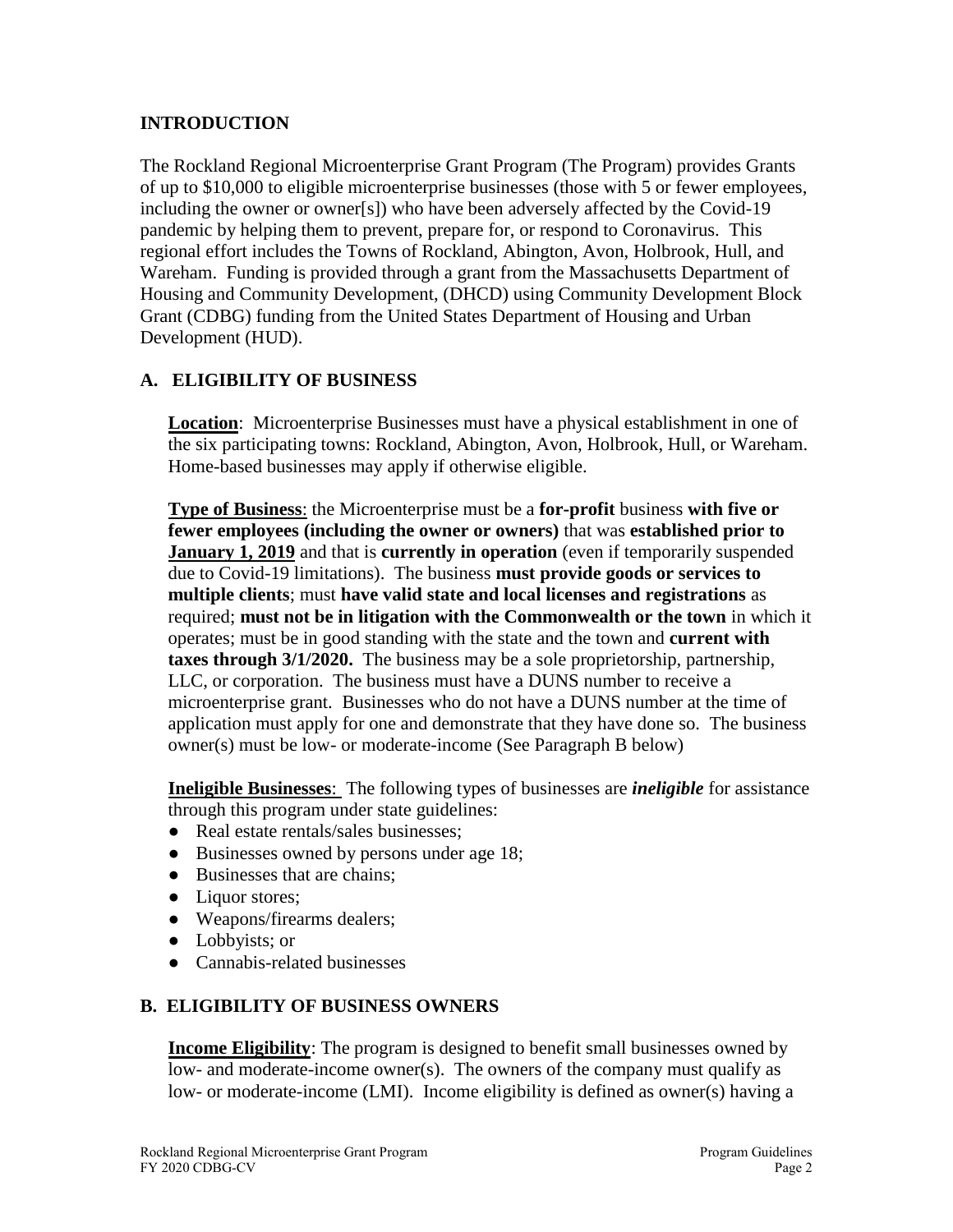### **INTRODUCTION**

The Rockland Regional Microenterprise Grant Program (The Program) provides Grants of up to \$10,000 to eligible microenterprise businesses (those with 5 or fewer employees, including the owner or owner[s]) who have been adversely affected by the Covid-19 pandemic by helping them to prevent, prepare for, or respond to Coronavirus. This regional effort includes the Towns of Rockland, Abington, Avon, Holbrook, Hull, and Wareham. Funding is provided through a grant from the Massachusetts Department of Housing and Community Development, (DHCD) using Community Development Block Grant (CDBG) funding from the United States Department of Housing and Urban Development (HUD).

### **A. ELIGIBILITY OF BUSINESS**

**Location**: Microenterprise Businesses must have a physical establishment in one of the six participating towns: Rockland, Abington, Avon, Holbrook, Hull, or Wareham. Home-based businesses may apply if otherwise eligible.

**Type of Business**: the Microenterprise must be a **for-profit** business **with five or fewer employees (including the owner or owners)** that was **established prior to January 1, 2019** and that is **currently in operation** (even if temporarily suspended due to Covid-19 limitations). The business **must provide goods or services to multiple clients**; must **have valid state and local licenses and registrations** as required; **must not be in litigation with the Commonwealth or the town** in which it operates; must be in good standing with the state and the town and **current with taxes through 3/1/2020.** The business may be a sole proprietorship, partnership, LLC, or corporation. The business must have a DUNS number to receive a microenterprise grant. Businesses who do not have a DUNS number at the time of application must apply for one and demonstrate that they have done so. The business owner(s) must be low- or moderate-income (See Paragraph B below)

**Ineligible Businesses**: The following types of businesses are *ineligible* for assistance through this program under state guidelines:

- Real estate rentals/sales businesses:
- Businesses owned by persons under age 18;
- Businesses that are chains:
- Liquor stores;
- Weapons/firearms dealers;
- Lobbyists; or
- Cannabis-related businesses

### **B. ELIGIBILITY OF BUSINESS OWNERS**

**Income Eligibility**: The program is designed to benefit small businesses owned by low- and moderate-income owner(s). The owners of the company must qualify as low- or moderate-income (LMI). Income eligibility is defined as owner(s) having a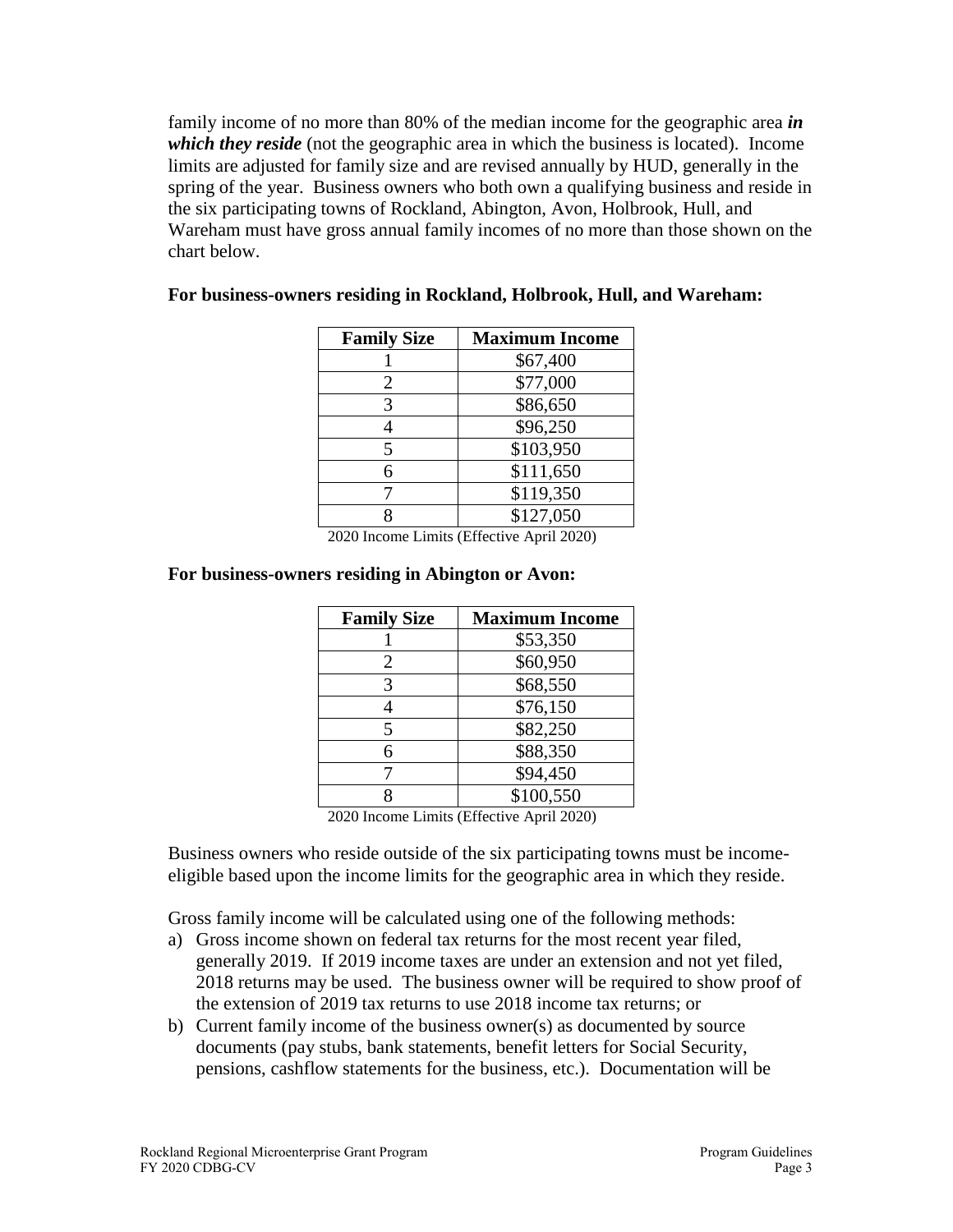family income of no more than 80% of the median income for the geographic area *in which they reside* (not the geographic area in which the business is located). Income limits are adjusted for family size and are revised annually by HUD, generally in the spring of the year. Business owners who both own a qualifying business and reside in the six participating towns of Rockland, Abington, Avon, Holbrook, Hull, and Wareham must have gross annual family incomes of no more than those shown on the chart below.

| <b>Family Size</b>          | <b>Maximum Income</b>                                                                      |
|-----------------------------|--------------------------------------------------------------------------------------------|
|                             | \$67,400                                                                                   |
| 2                           | \$77,000                                                                                   |
| 3                           | \$86,650                                                                                   |
|                             | \$96,250                                                                                   |
| 5                           | \$103,950                                                                                  |
| 6                           | \$111,650                                                                                  |
|                             | \$119,350                                                                                  |
| 8                           | \$127,050                                                                                  |
| $\sim$ $\sim$ $\sim$ $\sim$ | $\sim$ $\sim$ $\sim$ $\sim$ $\sim$ $\sim$<br>$\cdot$ $\sigma$<br>$\mathbf{1}$ $\mathbf{2}$ |

#### **For business-owners residing in Rockland, Holbrook, Hull, and Wareham:**

2020 Income Limits (Effective April 2020)

| <b>Family Size</b> | <b>Maximum Income</b> |
|--------------------|-----------------------|
|                    | \$53,350              |
| 2                  | \$60,950              |
| 3                  | \$68,550              |
|                    | \$76,150              |
| 5                  | \$82,250              |
| 6                  | \$88,350              |
|                    | \$94,450              |
|                    | \$100,550             |
|                    |                       |

#### **For business-owners residing in Abington or Avon:**

2020 Income Limits (Effective April 2020)

Business owners who reside outside of the six participating towns must be incomeeligible based upon the income limits for the geographic area in which they reside.

Gross family income will be calculated using one of the following methods:

- a) Gross income shown on federal tax returns for the most recent year filed, generally 2019. If 2019 income taxes are under an extension and not yet filed, 2018 returns may be used. The business owner will be required to show proof of the extension of 2019 tax returns to use 2018 income tax returns; or
- b) Current family income of the business owner(s) as documented by source documents (pay stubs, bank statements, benefit letters for Social Security, pensions, cashflow statements for the business, etc.). Documentation will be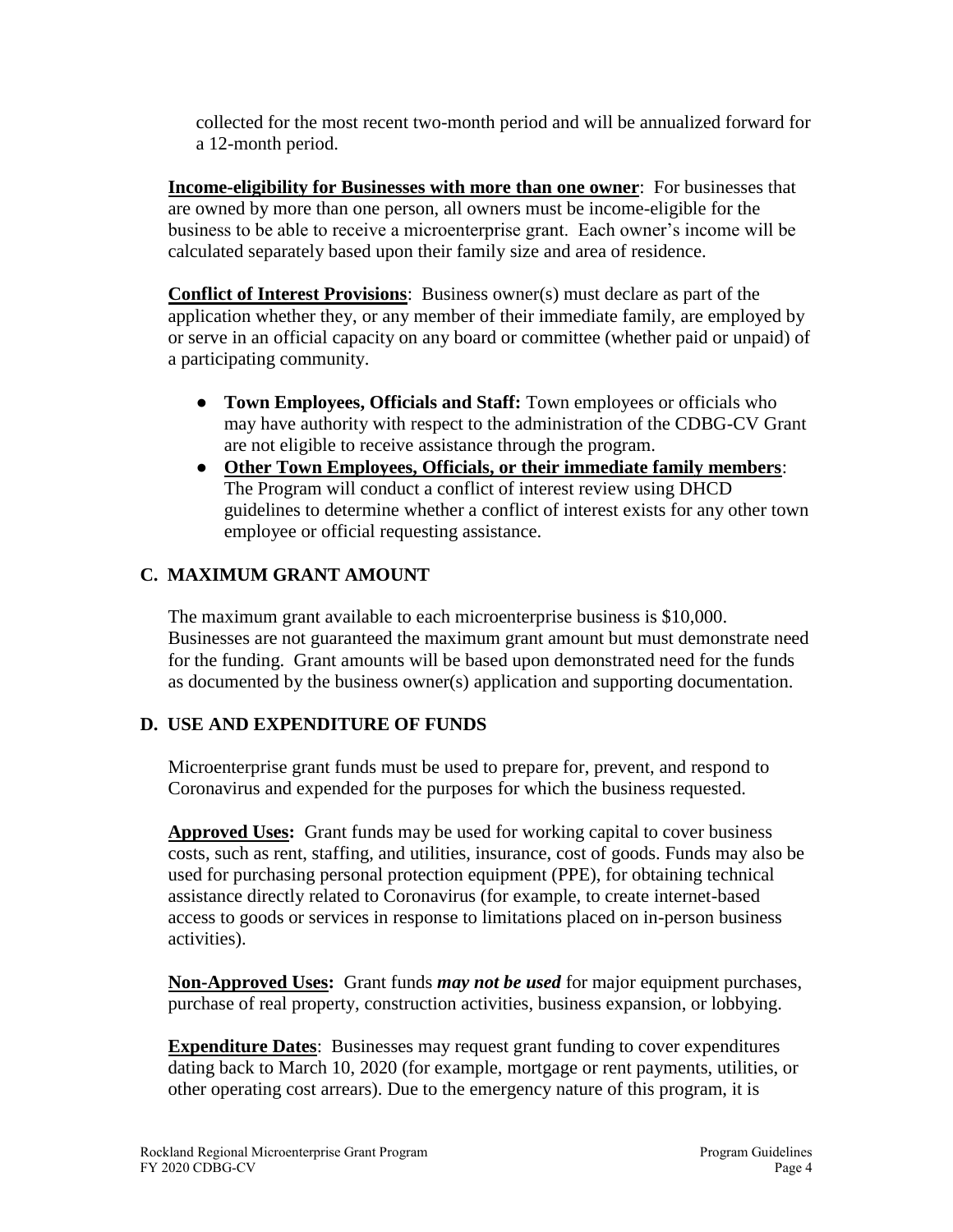collected for the most recent two-month period and will be annualized forward for a 12-month period.

**Income-eligibility for Businesses with more than one owner**: For businesses that are owned by more than one person, all owners must be income-eligible for the business to be able to receive a microenterprise grant. Each owner's income will be calculated separately based upon their family size and area of residence.

**Conflict of Interest Provisions**: Business owner(s) must declare as part of the application whether they, or any member of their immediate family, are employed by or serve in an official capacity on any board or committee (whether paid or unpaid) of a participating community.

- **Town Employees, Officials and Staff:** Town employees or officials who may have authority with respect to the administration of the CDBG-CV Grant are not eligible to receive assistance through the program.
- **Other Town Employees, Officials, or their immediate family members**: The Program will conduct a conflict of interest review using DHCD guidelines to determine whether a conflict of interest exists for any other town employee or official requesting assistance.

# **C. MAXIMUM GRANT AMOUNT**

The maximum grant available to each microenterprise business is \$10,000. Businesses are not guaranteed the maximum grant amount but must demonstrate need for the funding. Grant amounts will be based upon demonstrated need for the funds as documented by the business owner(s) application and supporting documentation.

# **D. USE AND EXPENDITURE OF FUNDS**

Microenterprise grant funds must be used to prepare for, prevent, and respond to Coronavirus and expended for the purposes for which the business requested.

**Approved Uses:** Grant funds may be used for working capital to cover business costs, such as rent, staffing, and utilities, insurance, cost of goods. Funds may also be used for purchasing personal protection equipment (PPE), for obtaining technical assistance directly related to Coronavirus (for example, to create internet-based access to goods or services in response to limitations placed on in-person business activities).

**Non-Approved Uses:** Grant funds *may not be used* for major equipment purchases, purchase of real property, construction activities, business expansion, or lobbying.

**Expenditure Dates**: Businesses may request grant funding to cover expenditures dating back to March 10, 2020 (for example, mortgage or rent payments, utilities, or other operating cost arrears). Due to the emergency nature of this program, it is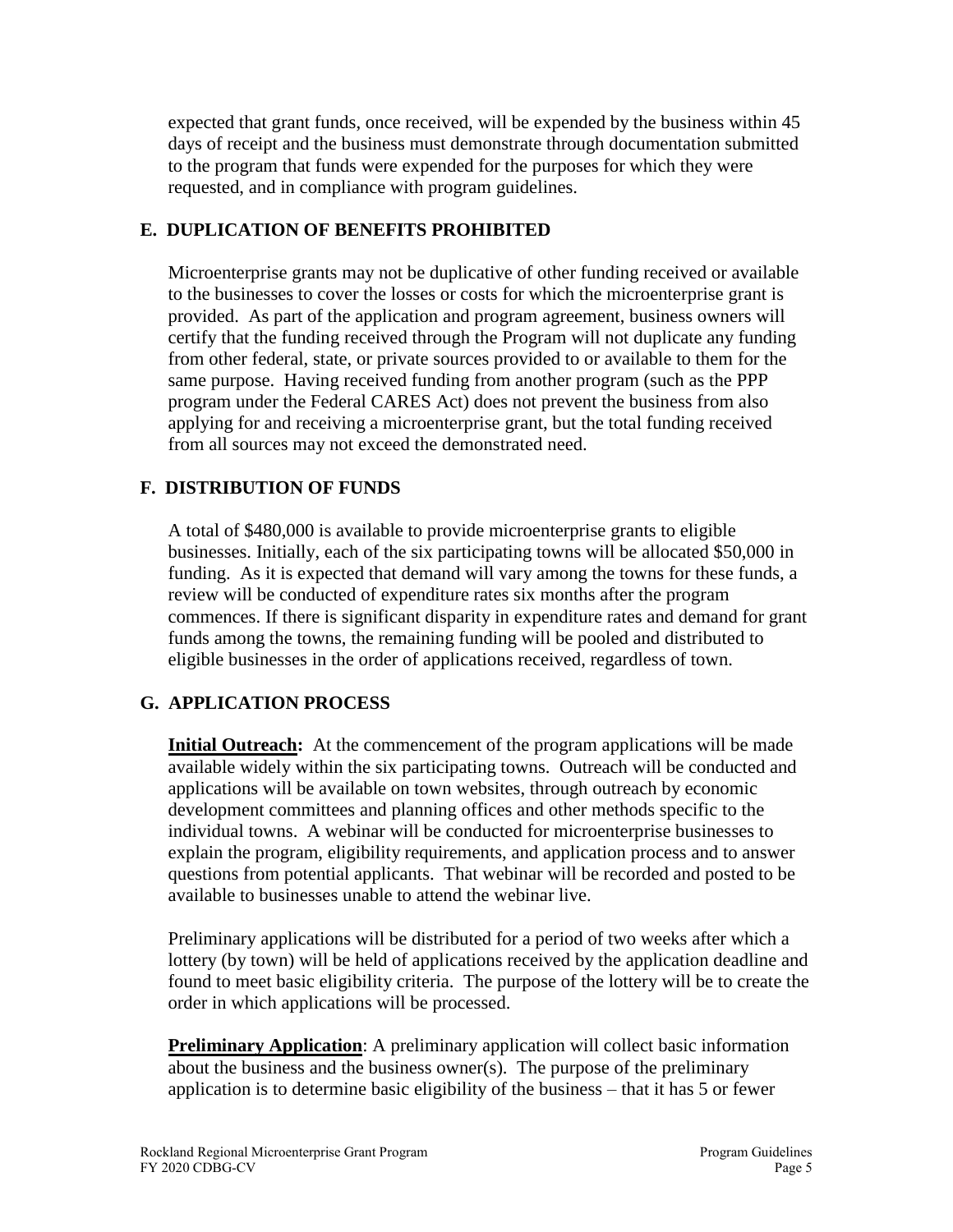expected that grant funds, once received, will be expended by the business within 45 days of receipt and the business must demonstrate through documentation submitted to the program that funds were expended for the purposes for which they were requested, and in compliance with program guidelines.

### **E. DUPLICATION OF BENEFITS PROHIBITED**

Microenterprise grants may not be duplicative of other funding received or available to the businesses to cover the losses or costs for which the microenterprise grant is provided. As part of the application and program agreement, business owners will certify that the funding received through the Program will not duplicate any funding from other federal, state, or private sources provided to or available to them for the same purpose. Having received funding from another program (such as the PPP program under the Federal CARES Act) does not prevent the business from also applying for and receiving a microenterprise grant, but the total funding received from all sources may not exceed the demonstrated need.

## **F. DISTRIBUTION OF FUNDS**

A total of \$480,000 is available to provide microenterprise grants to eligible businesses. Initially, each of the six participating towns will be allocated \$50,000 in funding. As it is expected that demand will vary among the towns for these funds, a review will be conducted of expenditure rates six months after the program commences. If there is significant disparity in expenditure rates and demand for grant funds among the towns, the remaining funding will be pooled and distributed to eligible businesses in the order of applications received, regardless of town.

## **G. APPLICATION PROCESS**

**Initial Outreach:** At the commencement of the program applications will be made available widely within the six participating towns. Outreach will be conducted and applications will be available on town websites, through outreach by economic development committees and planning offices and other methods specific to the individual towns. A webinar will be conducted for microenterprise businesses to explain the program, eligibility requirements, and application process and to answer questions from potential applicants. That webinar will be recorded and posted to be available to businesses unable to attend the webinar live.

Preliminary applications will be distributed for a period of two weeks after which a lottery (by town) will be held of applications received by the application deadline and found to meet basic eligibility criteria. The purpose of the lottery will be to create the order in which applications will be processed.

**Preliminary Application**: A preliminary application will collect basic information about the business and the business owner(s). The purpose of the preliminary application is to determine basic eligibility of the business – that it has 5 or fewer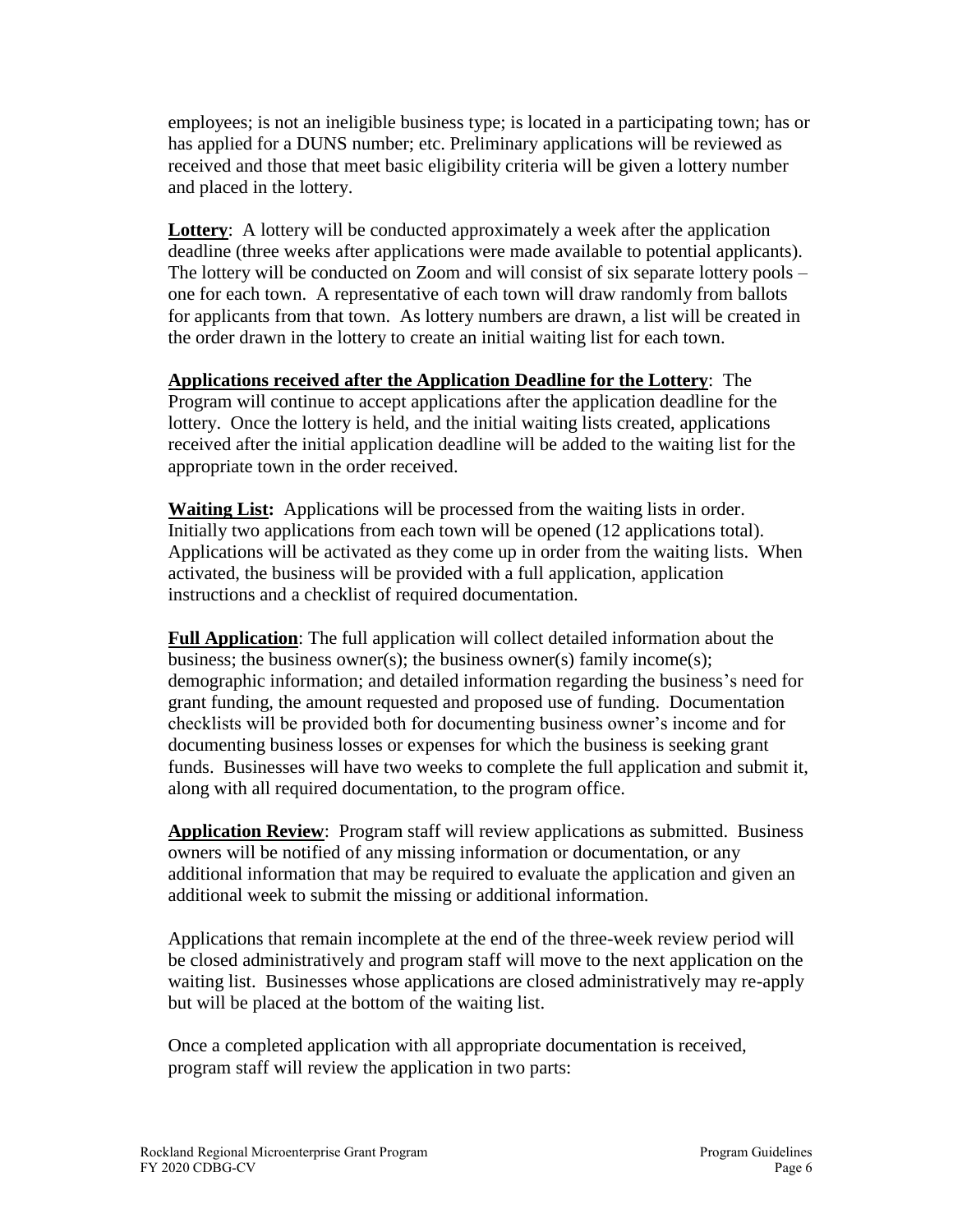employees; is not an ineligible business type; is located in a participating town; has or has applied for a DUNS number; etc. Preliminary applications will be reviewed as received and those that meet basic eligibility criteria will be given a lottery number and placed in the lottery.

**Lottery**: A lottery will be conducted approximately a week after the application deadline (three weeks after applications were made available to potential applicants). The lottery will be conducted on Zoom and will consist of six separate lottery pools – one for each town. A representative of each town will draw randomly from ballots for applicants from that town. As lottery numbers are drawn, a list will be created in the order drawn in the lottery to create an initial waiting list for each town.

**Applications received after the Application Deadline for the Lottery**: The Program will continue to accept applications after the application deadline for the lottery. Once the lottery is held, and the initial waiting lists created, applications received after the initial application deadline will be added to the waiting list for the appropriate town in the order received.

**Waiting List:** Applications will be processed from the waiting lists in order. Initially two applications from each town will be opened (12 applications total). Applications will be activated as they come up in order from the waiting lists. When activated, the business will be provided with a full application, application instructions and a checklist of required documentation.

**Full Application**: The full application will collect detailed information about the business; the business owner(s); the business owner(s) family income(s); demographic information; and detailed information regarding the business's need for grant funding, the amount requested and proposed use of funding. Documentation checklists will be provided both for documenting business owner's income and for documenting business losses or expenses for which the business is seeking grant funds. Businesses will have two weeks to complete the full application and submit it, along with all required documentation, to the program office.

**Application Review**: Program staff will review applications as submitted. Business owners will be notified of any missing information or documentation, or any additional information that may be required to evaluate the application and given an additional week to submit the missing or additional information.

Applications that remain incomplete at the end of the three-week review period will be closed administratively and program staff will move to the next application on the waiting list. Businesses whose applications are closed administratively may re-apply but will be placed at the bottom of the waiting list.

Once a completed application with all appropriate documentation is received, program staff will review the application in two parts: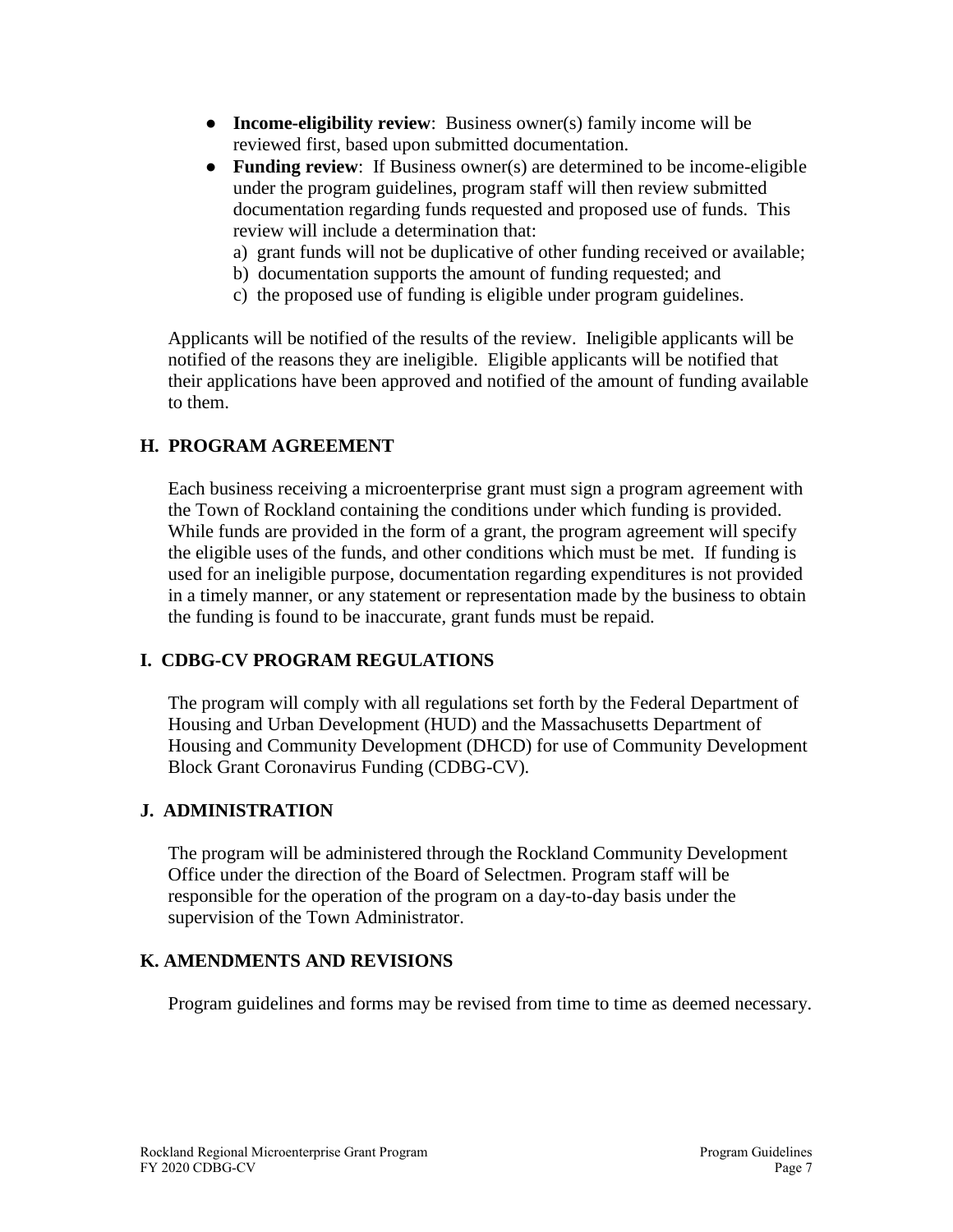- **Income-eligibility review**: Business owner(s) family income will be reviewed first, based upon submitted documentation.
- **Funding review**: If Business owner(s) are determined to be income-eligible under the program guidelines, program staff will then review submitted documentation regarding funds requested and proposed use of funds. This review will include a determination that:
	- a) grant funds will not be duplicative of other funding received or available;
	- b) documentation supports the amount of funding requested; and
	- c) the proposed use of funding is eligible under program guidelines.

Applicants will be notified of the results of the review. Ineligible applicants will be notified of the reasons they are ineligible. Eligible applicants will be notified that their applications have been approved and notified of the amount of funding available to them.

### **H. PROGRAM AGREEMENT**

Each business receiving a microenterprise grant must sign a program agreement with the Town of Rockland containing the conditions under which funding is provided. While funds are provided in the form of a grant, the program agreement will specify the eligible uses of the funds, and other conditions which must be met. If funding is used for an ineligible purpose, documentation regarding expenditures is not provided in a timely manner, or any statement or representation made by the business to obtain the funding is found to be inaccurate, grant funds must be repaid.

### **I. CDBG-CV PROGRAM REGULATIONS**

The program will comply with all regulations set forth by the Federal Department of Housing and Urban Development (HUD) and the Massachusetts Department of Housing and Community Development (DHCD) for use of Community Development Block Grant Coronavirus Funding (CDBG-CV).

### **J. ADMINISTRATION**

The program will be administered through the Rockland Community Development Office under the direction of the Board of Selectmen. Program staff will be responsible for the operation of the program on a day-to-day basis under the supervision of the Town Administrator.

#### **K. AMENDMENTS AND REVISIONS**

Program guidelines and forms may be revised from time to time as deemed necessary.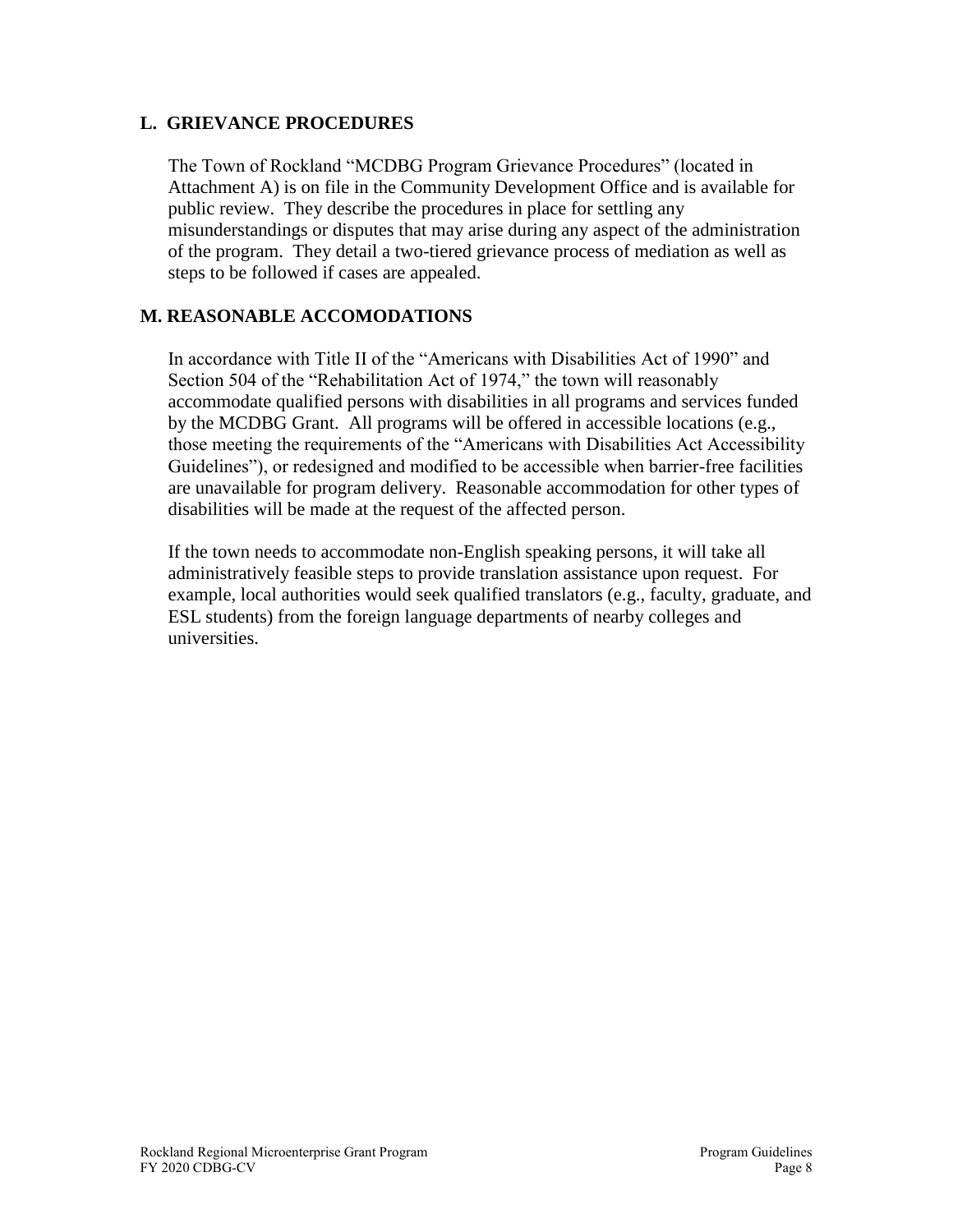### **L. GRIEVANCE PROCEDURES**

The Town of Rockland "MCDBG Program Grievance Procedures" (located in Attachment A) is on file in the Community Development Office and is available for public review. They describe the procedures in place for settling any misunderstandings or disputes that may arise during any aspect of the administration of the program. They detail a two-tiered grievance process of mediation as well as steps to be followed if cases are appealed.

### **M. REASONABLE ACCOMODATIONS**

In accordance with Title II of the "Americans with Disabilities Act of 1990" and Section 504 of the "Rehabilitation Act of 1974," the town will reasonably accommodate qualified persons with disabilities in all programs and services funded by the MCDBG Grant. All programs will be offered in accessible locations (e.g., those meeting the requirements of the "Americans with Disabilities Act Accessibility Guidelines"), or redesigned and modified to be accessible when barrier-free facilities are unavailable for program delivery. Reasonable accommodation for other types of disabilities will be made at the request of the affected person.

If the town needs to accommodate non-English speaking persons, it will take all administratively feasible steps to provide translation assistance upon request. For example, local authorities would seek qualified translators (e.g., faculty, graduate, and ESL students) from the foreign language departments of nearby colleges and universities.